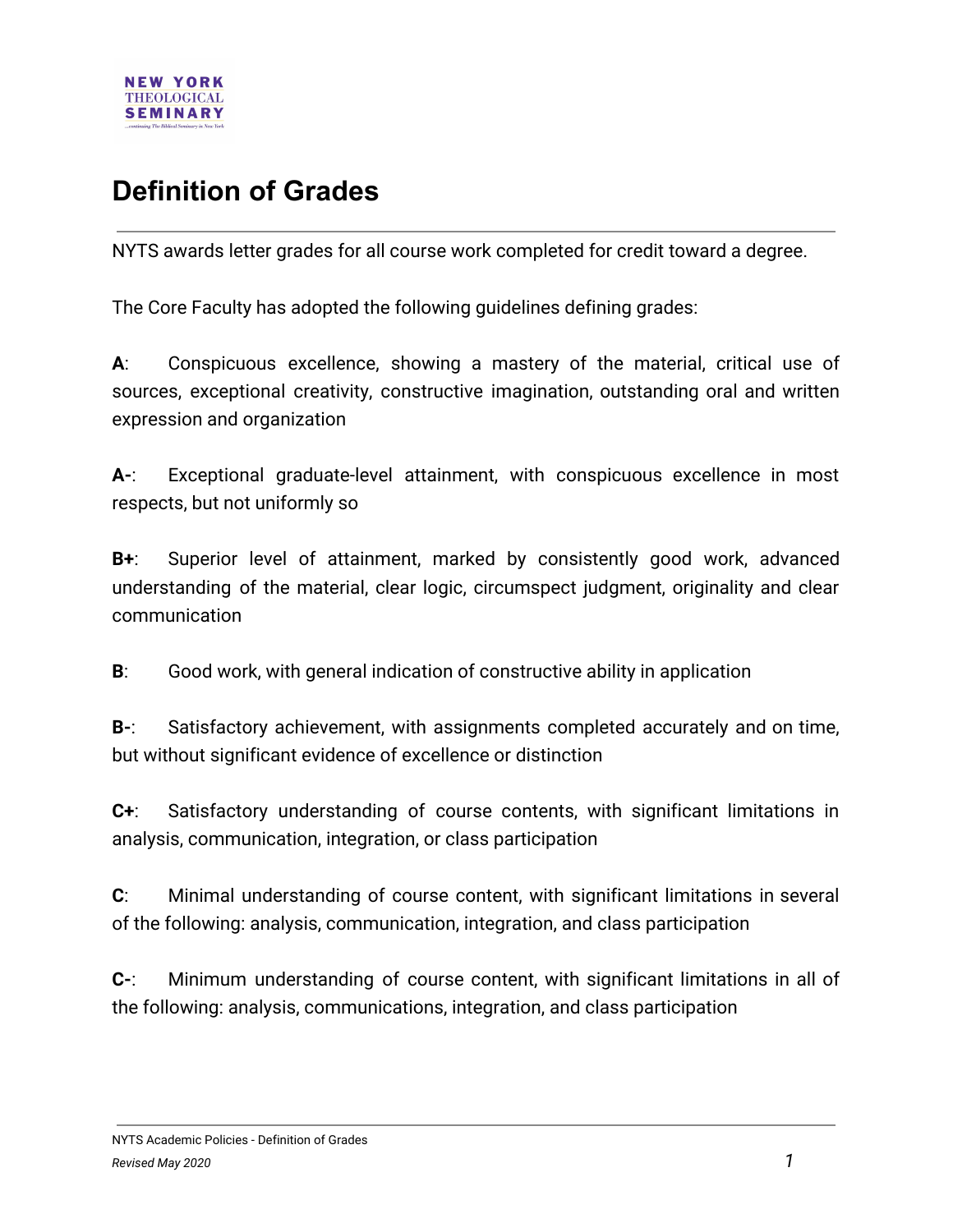

## **Definition of Grades**

NYTS awards letter grades for all course work completed for credit toward a degree.

The Core Faculty has adopted the following guidelines defining grades:

**A**: Conspicuous excellence, showing a mastery of the material, critical use of sources, exceptional creativity, constructive imagination, outstanding oral and written expression and organization

**A-**: Exceptional graduate-level attainment, with conspicuous excellence in most respects, but not uniformly so

**B+**: Superior level of attainment, marked by consistently good work, advanced understanding of the material, clear logic, circumspect judgment, originality and clear communication

**B**: Good work, with general indication of constructive ability in application

**B-**: Satisfactory achievement, with assignments completed accurately and on time, but without significant evidence of excellence or distinction

**C+**: Satisfactory understanding of course contents, with significant limitations in analysis, communication, integration, or class participation

**C**: Minimal understanding of course content, with significant limitations in several of the following: analysis, communication, integration, and class participation

**C-**: Minimum understanding of course content, with significant limitations in all of the following: analysis, communications, integration, and class participation